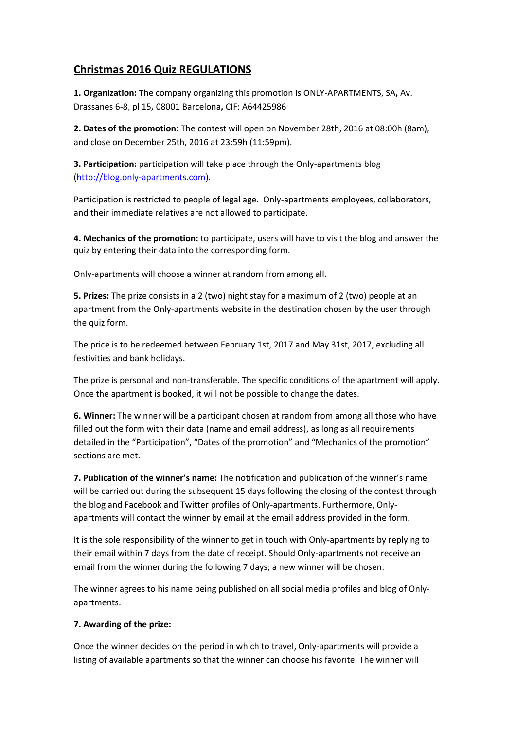## **Christmas 2016 Quiz REGULATIONS**

**1. Organization:** The company organizing this promotion is ONLY-APARTMENTS, SA**,** Av. Drassanes 6-8, pl 15**,** 08001 Barcelona**,** CIF: A64425986

**2. Dates of the promotion:** The contest will open on November 28th, 2016 at 08:00h (8am), and close on December 25th, 2016 at 23:59h (11:59pm).

**3. Participation:** participation will take place through the Only-apartments blog [\(http://blog.only-apartments.com\)](http://blog.only-apartments.com/).

Participation is restricted to people of legal age. Only-apartments employees, collaborators, and their immediate relatives are not allowed to participate.

**4. Mechanics of the promotion:** to participate, users will have to visit the blog and answer the quiz by entering their data into the corresponding form.

Only-apartments will choose a winner at random from among all.

**5. Prizes:** The prize consists in a 2 (two) night stay for a maximum of 2 (two) people at an apartment from the Only-apartments website in the destination chosen by the user through the quiz form.

The price is to be redeemed between February 1st, 2017 and May 31st, 2017, excluding all festivities and bank holidays.

The prize is personal and non-transferable. The specific conditions of the apartment will apply. Once the apartment is booked, it will not be possible to change the dates.

**6. Winner:** The winner will be a participant chosen at random from among all those who have filled out the form with their data (name and email address), as long as all requirements detailed in the "Participation", "Dates of the promotion" and "Mechanics of the promotion" sections are met.

**7. Publication of the winner's name:** The notification and publication of the winner's name will be carried out during the subsequent 15 days following the closing of the contest through the blog and Facebook and Twitter profiles of Only-apartments. Furthermore, Onlyapartments will contact the winner by email at the email address provided in the form.

It is the sole responsibility of the winner to get in touch with Only-apartments by replying to their email within 7 days from the date of receipt. Should Only-apartments not receive an email from the winner during the following 7 days; a new winner will be chosen.

The winner agrees to his name being published on all social media profiles and blog of Onlyapartments.

## **7. Awarding of the prize:**

Once the winner decides on the period in which to travel, Only-apartments will provide a listing of available apartments so that the winner can choose his favorite. The winner will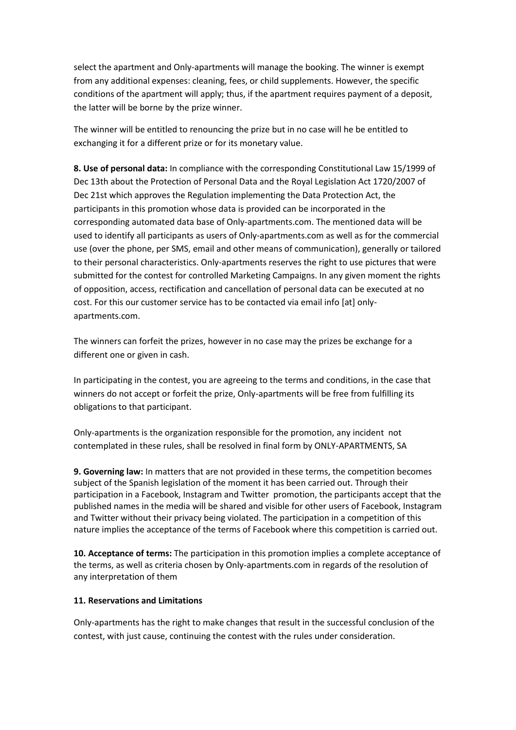select the apartment and Only-apartments will manage the booking. The winner is exempt from any additional expenses: cleaning, fees, or child supplements. However, the specific conditions of the apartment will apply; thus, if the apartment requires payment of a deposit, the latter will be borne by the prize winner.

The winner will be entitled to renouncing the prize but in no case will he be entitled to exchanging it for a different prize or for its monetary value.

**8. Use of personal data:** In compliance with the corresponding Constitutional Law 15/1999 of Dec 13th about the Protection of Personal Data and the Royal Legislation Act 1720/2007 of Dec 21st which approves the Regulation implementing the Data Protection Act, the participants in this promotion whose data is provided can be incorporated in the corresponding automated data base of Only-apartments.com. The mentioned data will be used to identify all participants as users of Only-apartments.com as well as for the commercial use (over the phone, per SMS, email and other means of communication), generally or tailored to their personal characteristics. Only-apartments reserves the right to use pictures that were submitted for the contest for controlled Marketing Campaigns. In any given moment the rights of opposition, access, rectification and cancellation of personal data can be executed at no cost. For this our customer service has to be contacted via email info [at] onlyapartments.com.

The winners can forfeit the prizes, however in no case may the prizes be exchange for a different one or given in cash.

In participating in the contest, you are agreeing to the terms and conditions, in the case that winners do not accept or forfeit the prize, Only-apartments will be free from fulfilling its obligations to that participant.

Only-apartments is the organization responsible for the promotion, any incident not contemplated in these rules, shall be resolved in final form by ONLY-APARTMENTS, SA

**9. Governing law:** In matters that are not provided in these terms, the competition becomes subject of the Spanish legislation of the moment it has been carried out. Through their participation in a Facebook, Instagram and Twitter promotion, the participants accept that the published names in the media will be shared and visible for other users of Facebook, Instagram and Twitter without their privacy being violated. The participation in a competition of this nature implies the acceptance of the terms of Facebook where this competition is carried out.

**10. Acceptance of terms:** The participation in this promotion implies a complete acceptance of the terms, as well as criteria chosen by Only-apartments.com in regards of the resolution of any interpretation of them

## **11. Reservations and Limitations**

Only-apartments has the right to make changes that result in the successful conclusion of the contest, with just cause, continuing the contest with the rules under consideration.